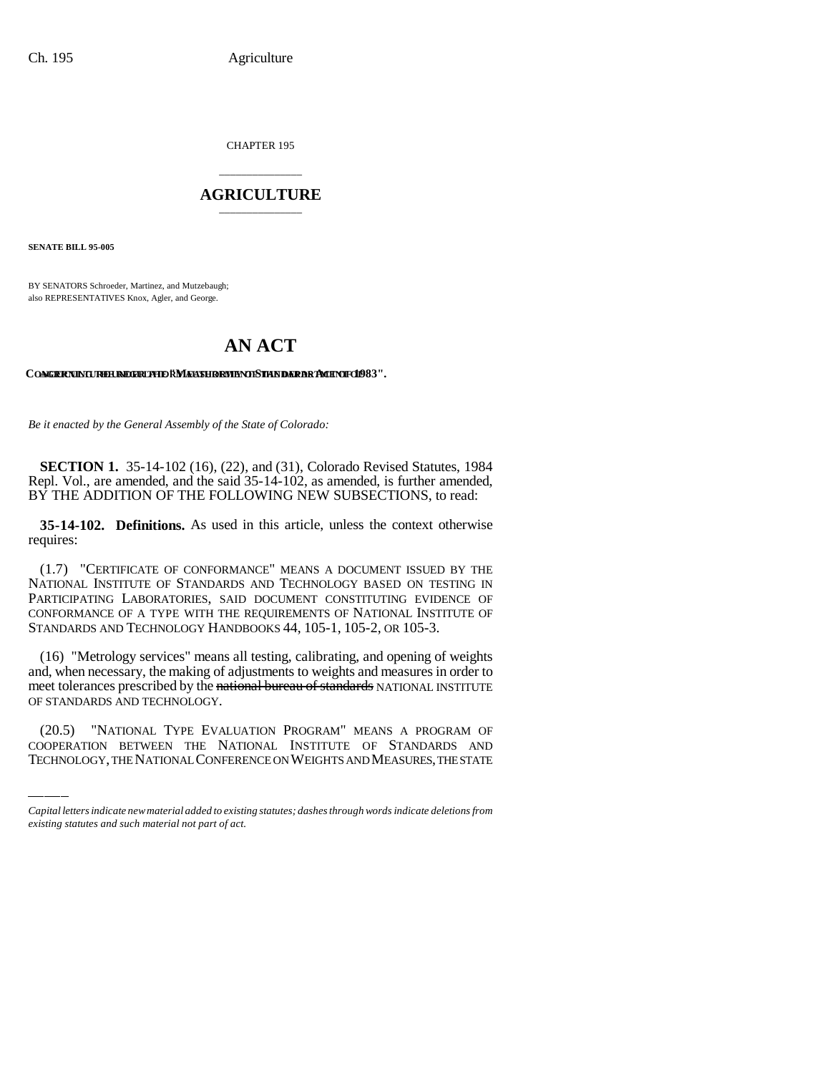CHAPTER 195

## \_\_\_\_\_\_\_\_\_\_\_\_\_\_\_ **AGRICULTURE** \_\_\_\_\_\_\_\_\_\_\_\_\_\_\_

**SENATE BILL 95-005**

BY SENATORS Schroeder, Martinez, and Mutzebaugh; also REPRESENTATIVES Knox, Agler, and George.

# **AN ACT**

### CONCERNING THE BEGIN AUTHORITY OF **MEASURE INDER DEPARTMENT OF 1983**".

*Be it enacted by the General Assembly of the State of Colorado:*

**SECTION 1.** 35-14-102 (16), (22), and (31), Colorado Revised Statutes, 1984 Repl. Vol., are amended, and the said 35-14-102, as amended, is further amended, BY THE ADDITION OF THE FOLLOWING NEW SUBSECTIONS, to read:

**35-14-102. Definitions.** As used in this article, unless the context otherwise requires:

(1.7) "CERTIFICATE OF CONFORMANCE" MEANS A DOCUMENT ISSUED BY THE NATIONAL INSTITUTE OF STANDARDS AND TECHNOLOGY BASED ON TESTING IN PARTICIPATING LABORATORIES, SAID DOCUMENT CONSTITUTING EVIDENCE OF CONFORMANCE OF A TYPE WITH THE REQUIREMENTS OF NATIONAL INSTITUTE OF STANDARDS AND TECHNOLOGY HANDBOOKS 44, 105-1, 105-2, OR 105-3.

Theet tolerances preserved by the h<br>OF STANDARDS AND TECHNOLOGY. (16) "Metrology services" means all testing, calibrating, and opening of weights and, when necessary, the making of adjustments to weights and measures in order to meet tolerances prescribed by the national bureau of standards NATIONAL INSTITUTE

(20.5) "NATIONAL TYPE EVALUATION PROGRAM" MEANS A PROGRAM OF COOPERATION BETWEEN THE NATIONAL INSTITUTE OF STANDARDS AND TECHNOLOGY, THE NATIONAL CONFERENCE ON WEIGHTS AND MEASURES, THE STATE

*Capital letters indicate new material added to existing statutes; dashes through words indicate deletions from existing statutes and such material not part of act.*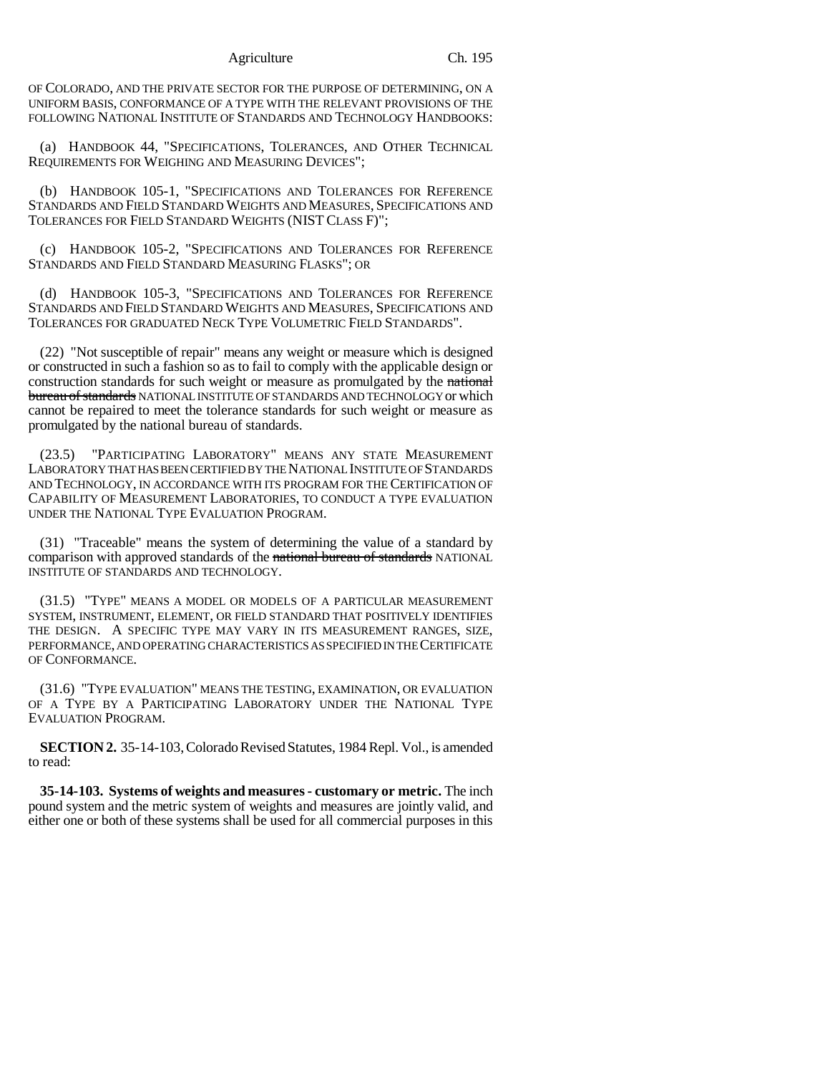Agriculture Ch. 195

OF COLORADO, AND THE PRIVATE SECTOR FOR THE PURPOSE OF DETERMINING, ON A UNIFORM BASIS, CONFORMANCE OF A TYPE WITH THE RELEVANT PROVISIONS OF THE FOLLOWING NATIONAL INSTITUTE OF STANDARDS AND TECHNOLOGY HANDBOOKS:

(a) HANDBOOK 44, "SPECIFICATIONS, TOLERANCES, AND OTHER TECHNICAL REQUIREMENTS FOR WEIGHING AND MEASURING DEVICES";

(b) HANDBOOK 105-1, "SPECIFICATIONS AND TOLERANCES FOR REFERENCE STANDARDS AND FIELD STANDARD WEIGHTS AND MEASURES, SPECIFICATIONS AND TOLERANCES FOR FIELD STANDARD WEIGHTS (NIST CLASS F)";

(c) HANDBOOK 105-2, "SPECIFICATIONS AND TOLERANCES FOR REFERENCE STANDARDS AND FIELD STANDARD MEASURING FLASKS"; OR

(d) HANDBOOK 105-3, "SPECIFICATIONS AND TOLERANCES FOR REFERENCE STANDARDS AND FIELD STANDARD WEIGHTS AND MEASURES, SPECIFICATIONS AND TOLERANCES FOR GRADUATED NECK TYPE VOLUMETRIC FIELD STANDARDS".

(22) "Not susceptible of repair" means any weight or measure which is designed or constructed in such a fashion so as to fail to comply with the applicable design or construction standards for such weight or measure as promulgated by the national bureau of standards NATIONAL INSTITUTE OF STANDARDS AND TECHNOLOGY or which cannot be repaired to meet the tolerance standards for such weight or measure as promulgated by the national bureau of standards.

(23.5) "PARTICIPATING LABORATORY" MEANS ANY STATE MEASUREMENT LABORATORY THAT HAS BEEN CERTIFIED BY THE NATIONAL INSTITUTE OF STANDARDS AND TECHNOLOGY, IN ACCORDANCE WITH ITS PROGRAM FOR THE CERTIFICATION OF CAPABILITY OF MEASUREMENT LABORATORIES, TO CONDUCT A TYPE EVALUATION UNDER THE NATIONAL TYPE EVALUATION PROGRAM.

(31) "Traceable" means the system of determining the value of a standard by comparison with approved standards of the national bureau of standards NATIONAL INSTITUTE OF STANDARDS AND TECHNOLOGY.

(31.5) "TYPE" MEANS A MODEL OR MODELS OF A PARTICULAR MEASUREMENT SYSTEM, INSTRUMENT, ELEMENT, OR FIELD STANDARD THAT POSITIVELY IDENTIFIES THE DESIGN. A SPECIFIC TYPE MAY VARY IN ITS MEASUREMENT RANGES, SIZE, PERFORMANCE, AND OPERATING CHARACTERISTICS AS SPECIFIED IN THE CERTIFICATE OF CONFORMANCE.

(31.6) "TYPE EVALUATION" MEANS THE TESTING, EXAMINATION, OR EVALUATION OF A TYPE BY A PARTICIPATING LABORATORY UNDER THE NATIONAL TYPE EVALUATION PROGRAM.

**SECTION 2.** 35-14-103, Colorado Revised Statutes, 1984 Repl. Vol., is amended to read:

**35-14-103. Systems of weights and measures - customary or metric.** The inch pound system and the metric system of weights and measures are jointly valid, and either one or both of these systems shall be used for all commercial purposes in this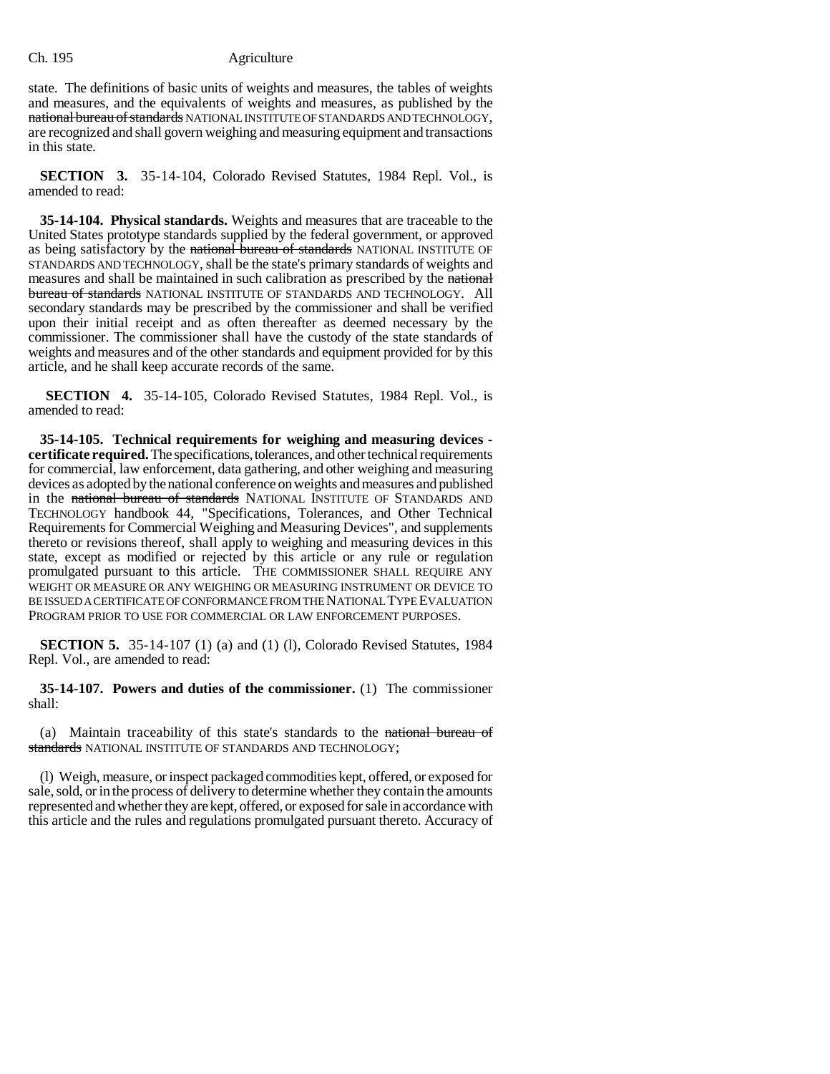#### Ch. 195 Agriculture

state. The definitions of basic units of weights and measures, the tables of weights and measures, and the equivalents of weights and measures, as published by the national bureau of standards NATIONAL INSTITUTE OF STANDARDS AND TECHNOLOGY, are recognized and shall govern weighing and measuring equipment and transactions in this state.

**SECTION 3.** 35-14-104, Colorado Revised Statutes, 1984 Repl. Vol., is amended to read:

**35-14-104. Physical standards.** Weights and measures that are traceable to the United States prototype standards supplied by the federal government, or approved as being satisfactory by the national bureau of standards NATIONAL INSTITUTE OF STANDARDS AND TECHNOLOGY, shall be the state's primary standards of weights and measures and shall be maintained in such calibration as prescribed by the national bureau of standards NATIONAL INSTITUTE OF STANDARDS AND TECHNOLOGY. All secondary standards may be prescribed by the commissioner and shall be verified upon their initial receipt and as often thereafter as deemed necessary by the commissioner. The commissioner shall have the custody of the state standards of weights and measures and of the other standards and equipment provided for by this article, and he shall keep accurate records of the same.

**SECTION 4.** 35-14-105, Colorado Revised Statutes, 1984 Repl. Vol., is amended to read:

**35-14-105. Technical requirements for weighing and measuring devices certificate required.** The specifications, tolerances, and other technical requirements for commercial, law enforcement, data gathering, and other weighing and measuring devices as adopted by the national conference on weights and measures and published in the national bureau of standards NATIONAL INSTITUTE OF STANDARDS AND TECHNOLOGY handbook 44, "Specifications, Tolerances, and Other Technical Requirements for Commercial Weighing and Measuring Devices", and supplements thereto or revisions thereof, shall apply to weighing and measuring devices in this state, except as modified or rejected by this article or any rule or regulation promulgated pursuant to this article. THE COMMISSIONER SHALL REQUIRE ANY WEIGHT OR MEASURE OR ANY WEIGHING OR MEASURING INSTRUMENT OR DEVICE TO BE ISSUED A CERTIFICATE OF CONFORMANCE FROM THE NATIONAL TYPE EVALUATION PROGRAM PRIOR TO USE FOR COMMERCIAL OR LAW ENFORCEMENT PURPOSES.

**SECTION 5.** 35-14-107 (1) (a) and (1) (1), Colorado Revised Statutes, 1984 Repl. Vol., are amended to read:

**35-14-107. Powers and duties of the commissioner.** (1) The commissioner shall:

(a) Maintain traceability of this state's standards to the national bureau of standards NATIONAL INSTITUTE OF STANDARDS AND TECHNOLOGY;

(l) Weigh, measure, or inspect packaged commodities kept, offered, or exposed for sale, sold, or in the process of delivery to determine whether they contain the amounts represented and whether they are kept, offered, or exposed for sale in accordance with this article and the rules and regulations promulgated pursuant thereto. Accuracy of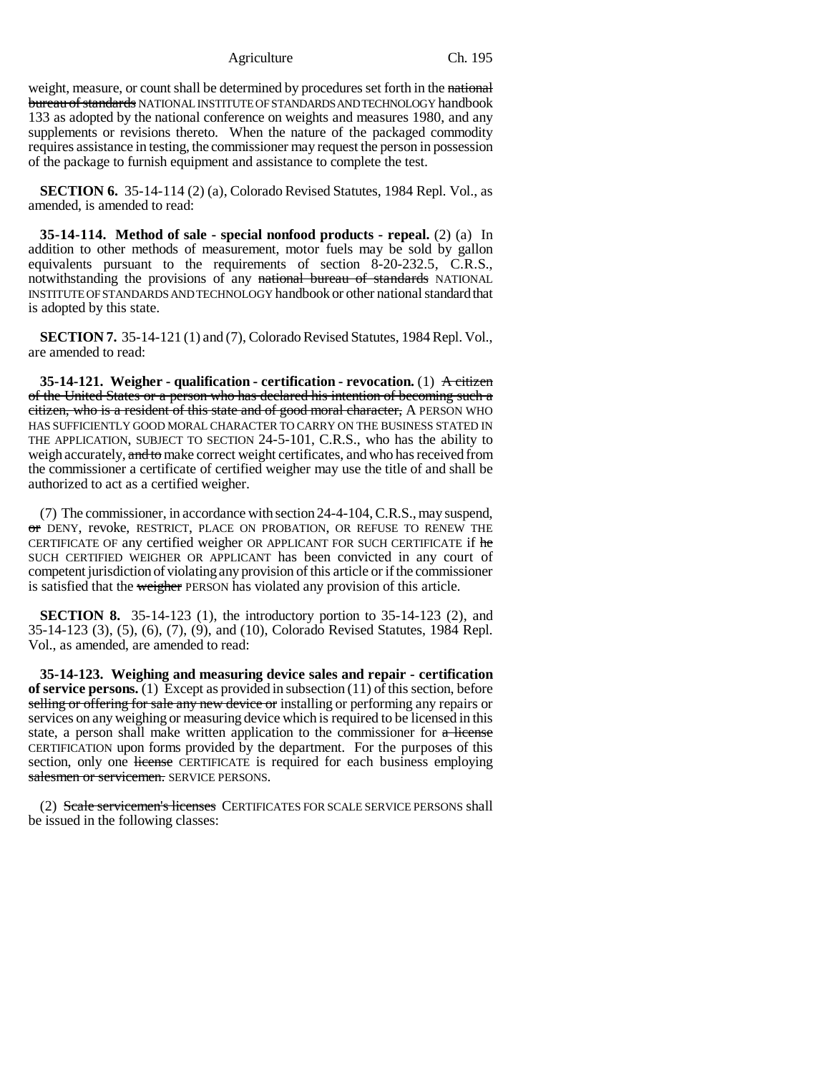Agriculture Ch. 195

weight, measure, or count shall be determined by procedures set forth in the national bureau of standards NATIONAL INSTITUTE OF STANDARDS AND TECHNOLOGY handbook 133 as adopted by the national conference on weights and measures 1980, and any supplements or revisions thereto. When the nature of the packaged commodity requires assistance in testing, the commissioner may request the person in possession of the package to furnish equipment and assistance to complete the test.

**SECTION 6.** 35-14-114 (2) (a), Colorado Revised Statutes, 1984 Repl. Vol., as amended, is amended to read:

**35-14-114. Method of sale - special nonfood products - repeal.** (2) (a) In addition to other methods of measurement, motor fuels may be sold by gallon equivalents pursuant to the requirements of section 8-20-232.5, C.R.S., notwithstanding the provisions of any national bureau of standards NATIONAL INSTITUTE OF STANDARDS AND TECHNOLOGY handbook or other national standard that is adopted by this state.

**SECTION 7.** 35-14-121 (1) and (7), Colorado Revised Statutes, 1984 Repl. Vol., are amended to read:

**35-14-121.** Weigher - qualification - certification - revocation. (1) A citizen of the United States or a person who has declared his intention of becoming such a citizen, who is a resident of this state and of good moral character, A PERSON WHO HAS SUFFICIENTLY GOOD MORAL CHARACTER TO CARRY ON THE BUSINESS STATED IN THE APPLICATION, SUBJECT TO SECTION 24-5-101, C.R.S., who has the ability to weigh accurately, and to make correct weight certificates, and who has received from the commissioner a certificate of certified weigher may use the title of and shall be authorized to act as a certified weigher.

(7) The commissioner, in accordance with section 24-4-104, C.R.S., may suspend, or DENY, revoke, RESTRICT, PLACE ON PROBATION, OR REFUSE TO RENEW THE CERTIFICATE OF any certified weigher OR APPLICANT FOR SUCH CERTIFICATE if he SUCH CERTIFIED WEIGHER OR APPLICANT has been convicted in any court of competent jurisdiction of violating any provision of this article or if the commissioner is satisfied that the weigher PERSON has violated any provision of this article.

**SECTION 8.** 35-14-123 (1), the introductory portion to 35-14-123 (2), and 35-14-123 (3), (5), (6), (7), (9), and (10), Colorado Revised Statutes, 1984 Repl. Vol., as amended, are amended to read:

**35-14-123. Weighing and measuring device sales and repair - certification of service persons.** (1) Except as provided in subsection (11) of this section, before selling or offering for sale any new device or installing or performing any repairs or services on any weighing or measuring device which is required to be licensed in this state, a person shall make written application to the commissioner for  $\alpha$  license CERTIFICATION upon forms provided by the department. For the purposes of this section, only one license CERTIFICATE is required for each business employing salesmen or servicemen. SERVICE PERSONS.

(2) Scale servicemen's licenses CERTIFICATES FOR SCALE SERVICE PERSONS shall be issued in the following classes: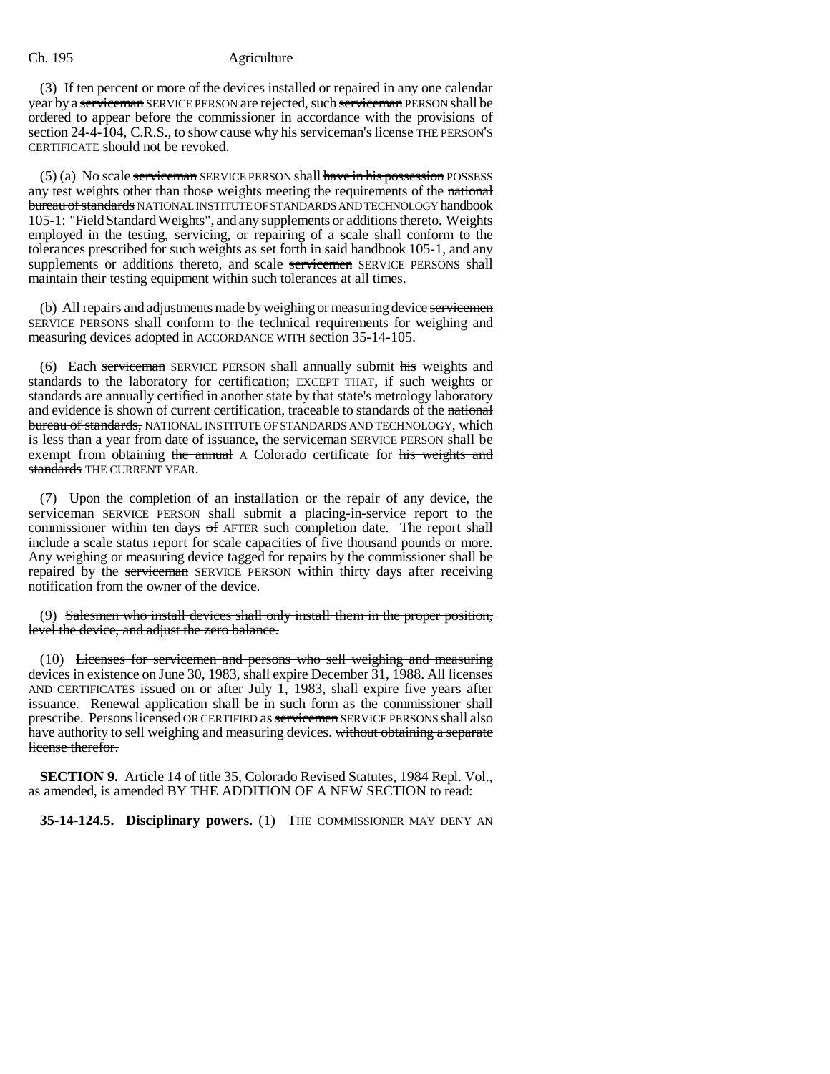#### Ch. 195 Agriculture

(3) If ten percent or more of the devices installed or repaired in any one calendar year by a serviceman SERVICE PERSON are rejected, such serviceman PERSON shall be ordered to appear before the commissioner in accordance with the provisions of section 24-4-104, C.R.S., to show cause why his serviceman's license THE PERSON'S CERTIFICATE should not be revoked.

 $(5)$  (a) No scale serviceman SERVICE PERSON shall have in his possession POSSESS any test weights other than those weights meeting the requirements of the national bureau of standards NATIONAL INSTITUTE OF STANDARDS AND TECHNOLOGY handbook 105-1: "Field Standard Weights", and any supplements or additions thereto. Weights employed in the testing, servicing, or repairing of a scale shall conform to the tolerances prescribed for such weights as set forth in said handbook 105-1, and any supplements or additions thereto, and scale servicemen SERVICE PERSONS shall maintain their testing equipment within such tolerances at all times.

(b) All repairs and adjustments made by weighing or measuring device servicemen SERVICE PERSONS shall conform to the technical requirements for weighing and measuring devices adopted in ACCORDANCE WITH section 35-14-105.

(6) Each serviceman SERVICE PERSON shall annually submit his weights and standards to the laboratory for certification; EXCEPT THAT, if such weights or standards are annually certified in another state by that state's metrology laboratory and evidence is shown of current certification, traceable to standards of the national bureau of standards, NATIONAL INSTITUTE OF STANDARDS AND TECHNOLOGY, which is less than a year from date of issuance, the **serviceman** SERVICE PERSON shall be exempt from obtaining the annual A Colorado certificate for his weights and standards THE CURRENT YEAR.

(7) Upon the completion of an installation or the repair of any device, the serviceman SERVICE PERSON shall submit a placing-in-service report to the commissioner within ten days of AFTER such completion date. The report shall include a scale status report for scale capacities of five thousand pounds or more. Any weighing or measuring device tagged for repairs by the commissioner shall be repaired by the serviceman SERVICE PERSON within thirty days after receiving notification from the owner of the device.

(9) Salesmen who install devices shall only install them in the proper position, level the device, and adjust the zero balance.

(10) Licenses for servicemen and persons who sell weighing and measuring devices in existence on June 30, 1983, shall expire December 31, 1988. All licenses AND CERTIFICATES issued on or after July 1, 1983, shall expire five years after issuance. Renewal application shall be in such form as the commissioner shall prescribe. Persons licensed OR CERTIFIED as servicemen SERVICE PERSONS shall also have authority to sell weighing and measuring devices. without obtaining a separate license therefor.

**SECTION 9.** Article 14 of title 35, Colorado Revised Statutes, 1984 Repl. Vol., as amended, is amended BY THE ADDITION OF A NEW SECTION to read:

**35-14-124.5. Disciplinary powers.** (1) THE COMMISSIONER MAY DENY AN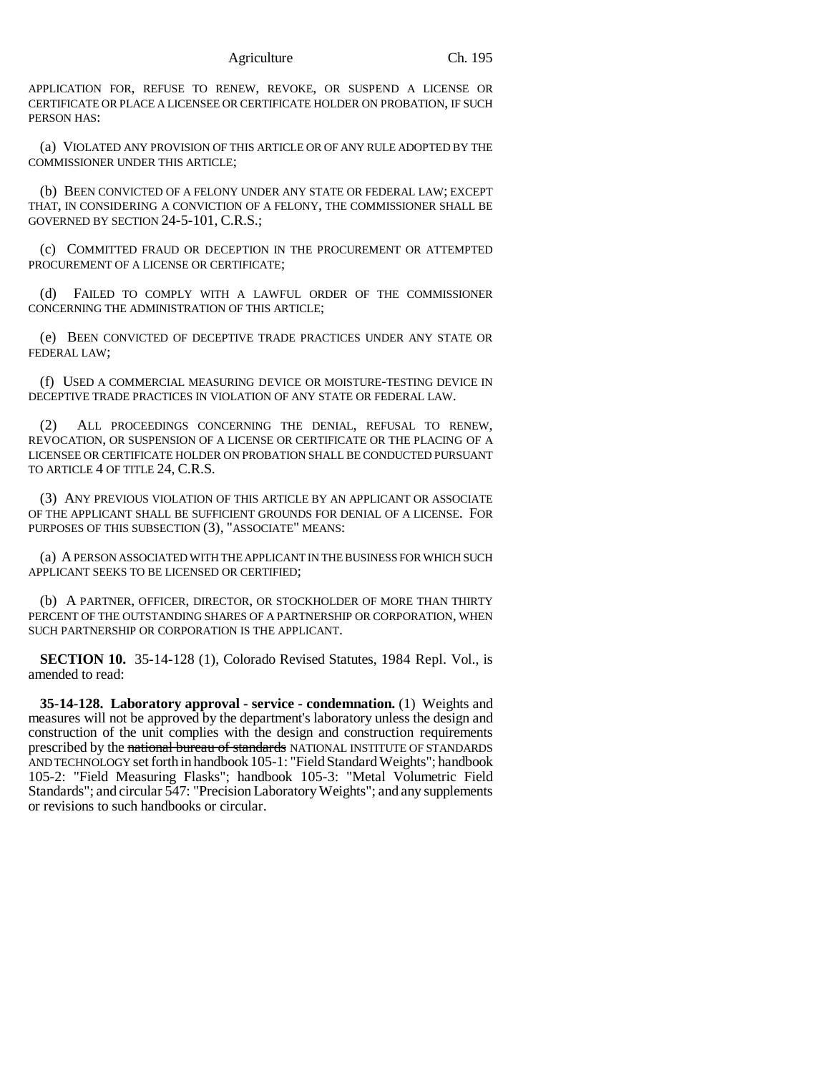APPLICATION FOR, REFUSE TO RENEW, REVOKE, OR SUSPEND A LICENSE OR CERTIFICATE OR PLACE A LICENSEE OR CERTIFICATE HOLDER ON PROBATION, IF SUCH PERSON HAS:

(a) VIOLATED ANY PROVISION OF THIS ARTICLE OR OF ANY RULE ADOPTED BY THE COMMISSIONER UNDER THIS ARTICLE;

(b) BEEN CONVICTED OF A FELONY UNDER ANY STATE OR FEDERAL LAW; EXCEPT THAT, IN CONSIDERING A CONVICTION OF A FELONY, THE COMMISSIONER SHALL BE GOVERNED BY SECTION 24-5-101, C.R.S.;

(c) COMMITTED FRAUD OR DECEPTION IN THE PROCUREMENT OR ATTEMPTED PROCUREMENT OF A LICENSE OR CERTIFICATE;

(d) FAILED TO COMPLY WITH A LAWFUL ORDER OF THE COMMISSIONER CONCERNING THE ADMINISTRATION OF THIS ARTICLE;

(e) BEEN CONVICTED OF DECEPTIVE TRADE PRACTICES UNDER ANY STATE OR FEDERAL LAW;

(f) USED A COMMERCIAL MEASURING DEVICE OR MOISTURE-TESTING DEVICE IN DECEPTIVE TRADE PRACTICES IN VIOLATION OF ANY STATE OR FEDERAL LAW.

ALL PROCEEDINGS CONCERNING THE DENIAL, REFUSAL TO RENEW, REVOCATION, OR SUSPENSION OF A LICENSE OR CERTIFICATE OR THE PLACING OF A LICENSEE OR CERTIFICATE HOLDER ON PROBATION SHALL BE CONDUCTED PURSUANT TO ARTICLE 4 OF TITLE 24, C.R.S.

(3) ANY PREVIOUS VIOLATION OF THIS ARTICLE BY AN APPLICANT OR ASSOCIATE OF THE APPLICANT SHALL BE SUFFICIENT GROUNDS FOR DENIAL OF A LICENSE. FOR PURPOSES OF THIS SUBSECTION (3), "ASSOCIATE" MEANS:

(a) A PERSON ASSOCIATED WITH THE APPLICANT IN THE BUSINESS FOR WHICH SUCH APPLICANT SEEKS TO BE LICENSED OR CERTIFIED;

(b) A PARTNER, OFFICER, DIRECTOR, OR STOCKHOLDER OF MORE THAN THIRTY PERCENT OF THE OUTSTANDING SHARES OF A PARTNERSHIP OR CORPORATION, WHEN SUCH PARTNERSHIP OR CORPORATION IS THE APPLICANT.

**SECTION 10.** 35-14-128 (1), Colorado Revised Statutes, 1984 Repl. Vol., is amended to read:

**35-14-128. Laboratory approval - service - condemnation.** (1) Weights and measures will not be approved by the department's laboratory unless the design and construction of the unit complies with the design and construction requirements prescribed by the national bureau of standards NATIONAL INSTITUTE OF STANDARDS AND TECHNOLOGY set forth in handbook 105-1: "Field Standard Weights"; handbook 105-2: "Field Measuring Flasks"; handbook 105-3: "Metal Volumetric Field Standards"; and circular 547: "Precision Laboratory Weights"; and any supplements or revisions to such handbooks or circular.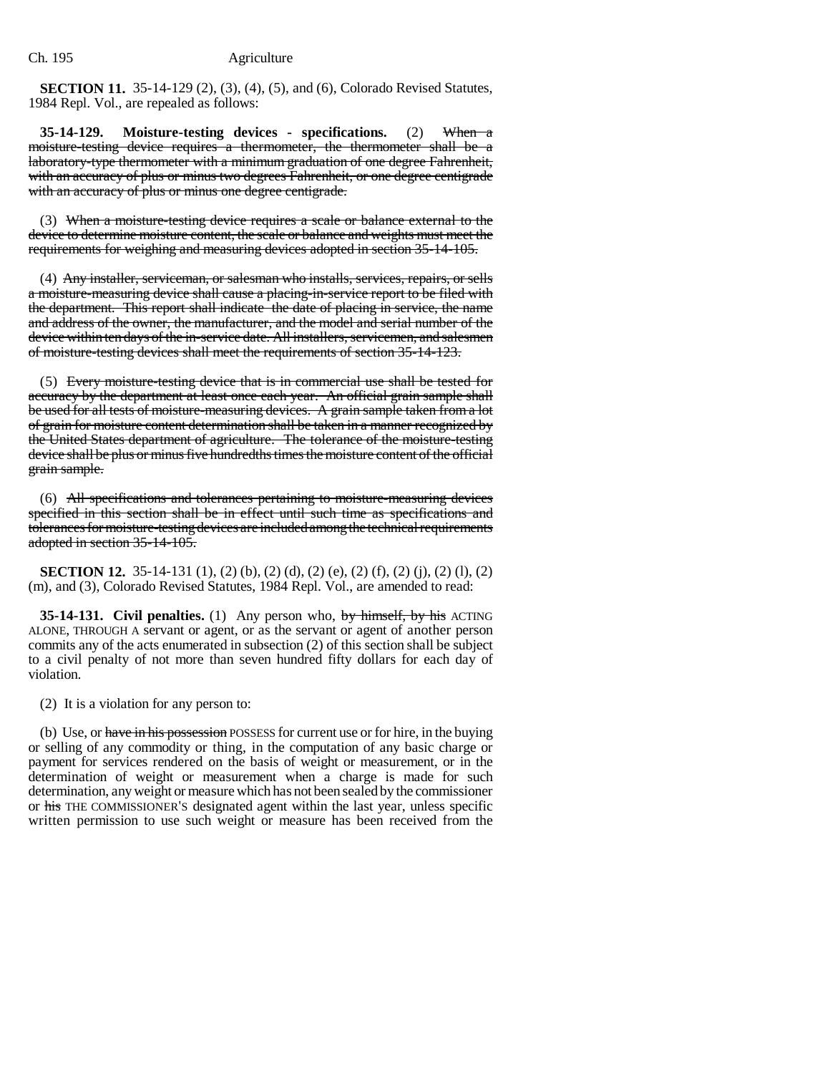**SECTION 11.** 35-14-129 (2), (3), (4), (5), and (6), Colorado Revised Statutes, 1984 Repl. Vol., are repealed as follows:

**35-14-129. Moisture-testing devices - specifications.** (2) When a moisture-testing device requires a thermometer, the thermometer shall be a laboratory-type thermometer with a minimum graduation of one degree Fahrenheit, with an accuracy of plus or minus two degrees Fahrenheit, or one degree centigrade with an accuracy of plus or minus one degree centigrade.

(3) When a moisture-testing device requires a scale or balance external to the device to determine moisture content, the scale or balance and weights must meet the requirements for weighing and measuring devices adopted in section 35-14-105.

(4) Any installer, serviceman, or salesman who installs, services, repairs, or sells a moisture-measuring device shall cause a placing-in-service report to be filed with the department. This report shall indicate the date of placing in service, the name and address of the owner, the manufacturer, and the model and serial number of the device within ten days of the in-service date. All installers, servicemen, and salesmen of moisture-testing devices shall meet the requirements of section 35-14-123.

(5) Every moisture-testing device that is in commercial use shall be tested for accuracy by the department at least once each year. An official grain sample shall be used for all tests of moisture-measuring devices. A grain sample taken from a lot of grain for moisture content determination shall be taken in a manner recognized by the United States department of agriculture. The tolerance of the moisture-testing device shall be plus or minus five hundredths times the moisture content of the official grain sample.

(6) All specifications and tolerances pertaining to moisture-measuring devices specified in this section shall be in effect until such time as specifications and tolerances for moisture-testing devices are included among the technical requirements adopted in section 35-14-105.

**SECTION 12.** 35-14-131 (1), (2) (b), (2) (d), (2) (e), (2) (f), (2) (j), (2) (l), (2) (m), and (3), Colorado Revised Statutes, 1984 Repl. Vol., are amended to read:

**35-14-131. Civil penalties.** (1) Any person who, by himself, by his ACTING ALONE, THROUGH A servant or agent, or as the servant or agent of another person commits any of the acts enumerated in subsection (2) of this section shall be subject to a civil penalty of not more than seven hundred fifty dollars for each day of violation.

(2) It is a violation for any person to:

(b) Use, or have in his possession POSSESS for current use or for hire, in the buying or selling of any commodity or thing, in the computation of any basic charge or payment for services rendered on the basis of weight or measurement, or in the determination of weight or measurement when a charge is made for such determination, any weight or measure which has not been sealed by the commissioner or his THE COMMISSIONER'S designated agent within the last year, unless specific written permission to use such weight or measure has been received from the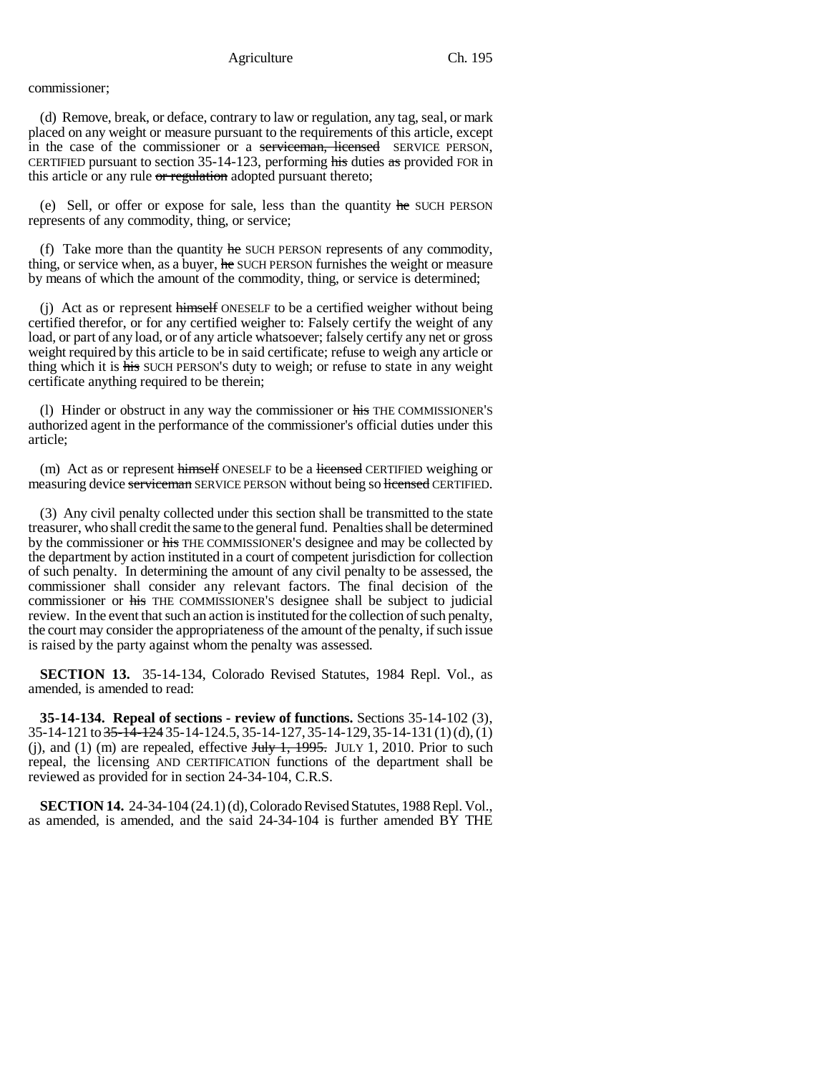#### Agriculture Ch. 195

### commissioner;

(d) Remove, break, or deface, contrary to law or regulation, any tag, seal, or mark placed on any weight or measure pursuant to the requirements of this article, except in the case of the commissioner or a serviceman, licensed SERVICE PERSON, CERTIFIED pursuant to section 35-14-123, performing his duties as provided FOR in this article or any rule  $\sigma r$  regulation adopted pursuant thereto;

(e) Sell, or offer or expose for sale, less than the quantity he SUCH PERSON represents of any commodity, thing, or service;

(f) Take more than the quantity  $he$  SUCH PERSON represents of any commodity, thing, or service when, as a buyer, he SUCH PERSON furnishes the weight or measure by means of which the amount of the commodity, thing, or service is determined;

(j) Act as or represent himself ONESELF to be a certified weigher without being certified therefor, or for any certified weigher to: Falsely certify the weight of any load, or part of any load, or of any article whatsoever; falsely certify any net or gross weight required by this article to be in said certificate; refuse to weigh any article or thing which it is his SUCH PERSON'S duty to weigh; or refuse to state in any weight certificate anything required to be therein;

(l) Hinder or obstruct in any way the commissioner or his THE COMMISSIONER'S authorized agent in the performance of the commissioner's official duties under this article;

(m) Act as or represent himself ONESELF to be a licensed CERTIFIED weighing or measuring device serviceman SERVICE PERSON without being so licensed CERTIFIED.

(3) Any civil penalty collected under this section shall be transmitted to the state treasurer, who shall credit the same to the general fund. Penalties shall be determined by the commissioner or his THE COMMISSIONER'S designee and may be collected by the department by action instituted in a court of competent jurisdiction for collection of such penalty. In determining the amount of any civil penalty to be assessed, the commissioner shall consider any relevant factors. The final decision of the commissioner or his THE COMMISSIONER'S designee shall be subject to judicial review. In the event that such an action is instituted for the collection of such penalty, the court may consider the appropriateness of the amount of the penalty, if such issue is raised by the party against whom the penalty was assessed.

**SECTION 13.** 35-14-134, Colorado Revised Statutes, 1984 Repl. Vol., as amended, is amended to read:

**35-14-134. Repeal of sections - review of functions.** Sections 35-14-102 (3),  $35-14-121$  to  $35-14-124$   $35-14-124.5$ ,  $35-14-127$ ,  $35-14-129$ ,  $35-14-131$  (1) (d), (1) (j), and (1) (m) are repealed, effective  $J_{\text{t}}$ ,  $J_{\text{t}}$ ,  $J_{\text{t}}$ ,  $J_{\text{t}}$ ,  $J_{\text{t}}$ ,  $J_{\text{t}}$  and (1) (m) are repealed, effective  $J_{\text{t}}$ ,  $J_{\text{t}}$ ,  $J_{\text{t}}$ ,  $J_{\text{t}}$ ,  $J_{\text{t}}$ ,  $J_{\text{t}}$ ,  $J_{\text{t}}$ ,  $J$ repeal, the licensing AND CERTIFICATION functions of the department shall be reviewed as provided for in section 24-34-104, C.R.S.

**SECTION 14.** 24-34-104 (24.1) (d), Colorado Revised Statutes, 1988 Repl. Vol., as amended, is amended, and the said 24-34-104 is further amended BY THE